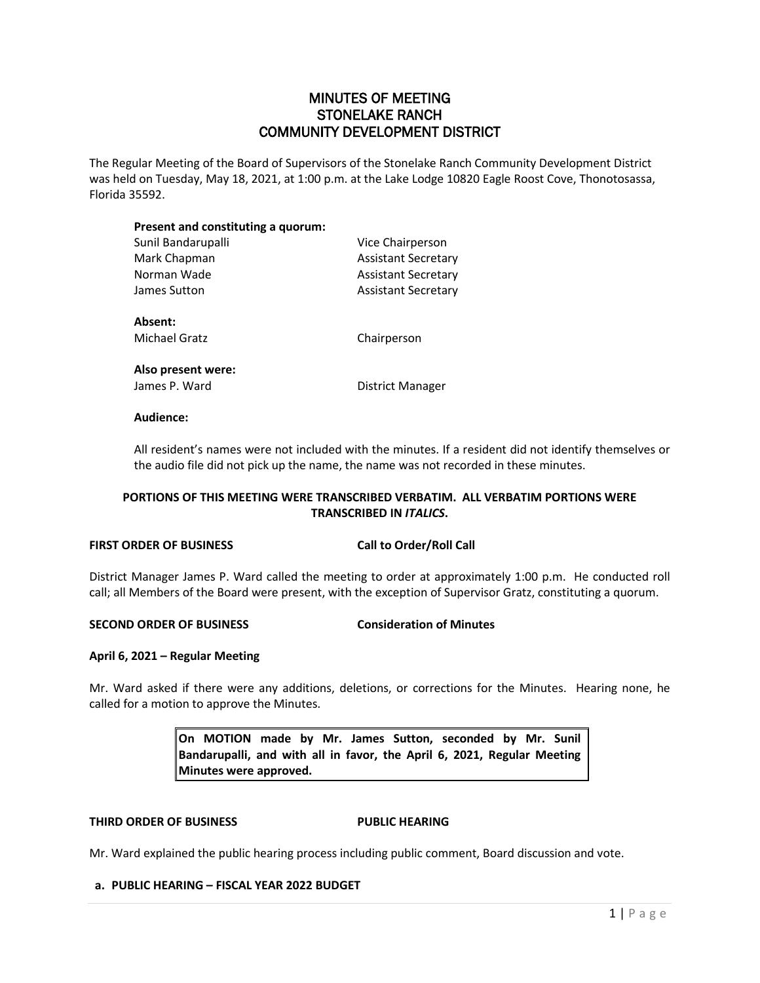# MINUTES OF MEETING STONELAKE RANCH COMMUNITY DEVELOPMENT DISTRICT

The Regular Meeting of the Board of Supervisors of the Stonelake Ranch Community Development District was held on Tuesday, May 18, 2021, at 1:00 p.m. at the Lake Lodge 10820 Eagle Roost Cove, Thonotosassa, Florida 35592.

| Present and constituting a quorum: |                     |
|------------------------------------|---------------------|
| Sunil Bandarupalli                 | Vice Chairperson    |
| Mark Chapman                       | Assistant Secretary |
| Norman Wade                        | Assistant Secretary |
| James Sutton                       | Assistant Secretary |
| Absent:                            |                     |
| Michael Gratz                      | Chairperson         |
| Also present were:                 |                     |
| James P. Ward                      | District Manager    |
| Audience:                          |                     |

All resident's names were not included with the minutes. If a resident did not identify themselves or the audio file did not pick up the name, the name was not recorded in these minutes.

## **PORTIONS OF THIS MEETING WERE TRANSCRIBED VERBATIM. ALL VERBATIM PORTIONS WERE TRANSCRIBED IN** *ITALICS***.**

## **FIRST ORDER OF BUSINESS Call to Order/Roll Call**

District Manager James P. Ward called the meeting to order at approximately 1:00 p.m. He conducted roll call; all Members of the Board were present, with the exception of Supervisor Gratz, constituting a quorum.

## **SECOND ORDER OF BUSINESS Consideration of Minutes**

## **April 6, 2021 – Regular Meeting**

Mr. Ward asked if there were any additions, deletions, or corrections for the Minutes. Hearing none, he called for a motion to approve the Minutes.

> **On MOTION made by Mr. James Sutton, seconded by Mr. Sunil Bandarupalli, and with all in favor, the April 6, 2021, Regular Meeting Minutes were approved.**

## **THIRD ORDER OF BUSINESS PUBLIC HEARING**

Mr. Ward explained the public hearing process including public comment, Board discussion and vote.

## **a. PUBLIC HEARING – FISCAL YEAR 2022 BUDGET**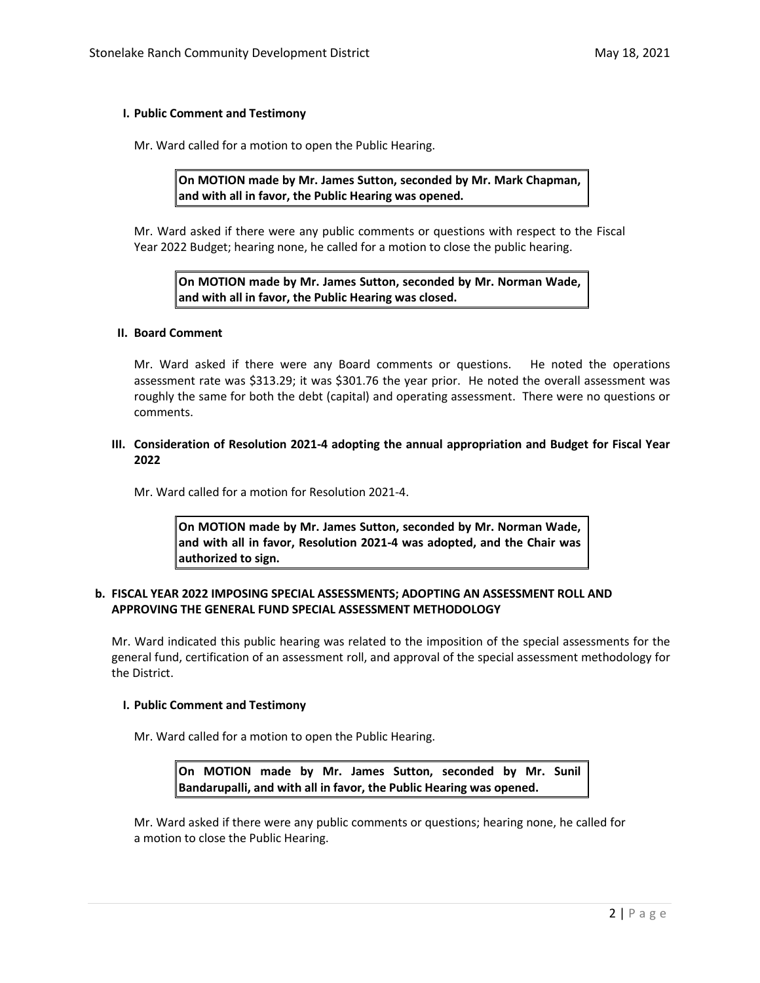## **I. Public Comment and Testimony**

Mr. Ward called for a motion to open the Public Hearing.

**On MOTION made by Mr. James Sutton, seconded by Mr. Mark Chapman, and with all in favor, the Public Hearing was opened.**

Mr. Ward asked if there were any public comments or questions with respect to the Fiscal Year 2022 Budget; hearing none, he called for a motion to close the public hearing.

**On MOTION made by Mr. James Sutton, seconded by Mr. Norman Wade, and with all in favor, the Public Hearing was closed.**

#### **II. Board Comment**

Mr. Ward asked if there were any Board comments or questions. He noted the operations assessment rate was \$313.29; it was \$301.76 the year prior. He noted the overall assessment was roughly the same for both the debt (capital) and operating assessment. There were no questions or comments.

## **III. Consideration of Resolution 2021-4 adopting the annual appropriation and Budget for Fiscal Year 2022**

Mr. Ward called for a motion for Resolution 2021-4.

**On MOTION made by Mr. James Sutton, seconded by Mr. Norman Wade, and with all in favor, Resolution 2021-4 was adopted, and the Chair was authorized to sign.** 

## **b. FISCAL YEAR 2022 IMPOSING SPECIAL ASSESSMENTS; ADOPTING AN ASSESSMENT ROLL AND APPROVING THE GENERAL FUND SPECIAL ASSESSMENT METHODOLOGY**

Mr. Ward indicated this public hearing was related to the imposition of the special assessments for the general fund, certification of an assessment roll, and approval of the special assessment methodology for the District.

## **I. Public Comment and Testimony**

Mr. Ward called for a motion to open the Public Hearing.

**On MOTION made by Mr. James Sutton, seconded by Mr. Sunil Bandarupalli, and with all in favor, the Public Hearing was opened.**

Mr. Ward asked if there were any public comments or questions; hearing none, he called for a motion to close the Public Hearing.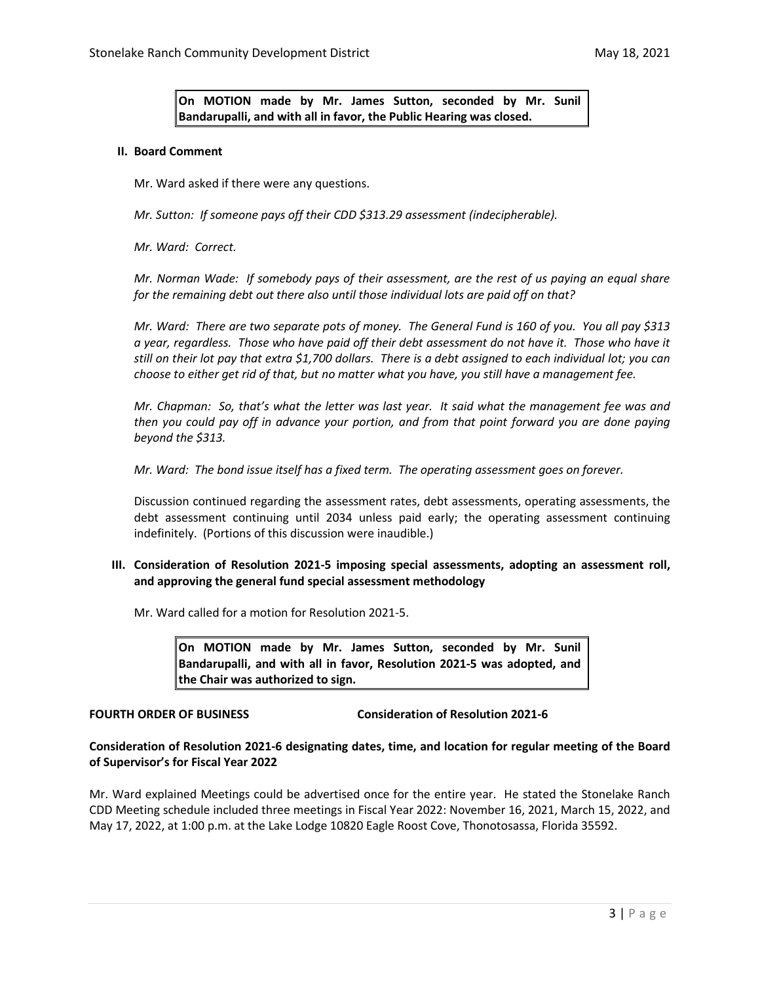**On MOTION made by Mr. James Sutton, seconded by Mr. Sunil Bandarupalli, and with all in favor, the Public Hearing was closed.**

#### **II. Board Comment**

Mr. Ward asked if there were any questions.

*Mr. Sutton: If someone pays off their CDD \$313.29 assessment (indecipherable).*

*Mr. Ward: Correct.* 

*Mr. Norman Wade: If somebody pays of their assessment, are the rest of us paying an equal share for the remaining debt out there also until those individual lots are paid off on that?* 

*Mr. Ward: There are two separate pots of money. The General Fund is 160 of you. You all pay \$313 a year, regardless. Those who have paid off their debt assessment do not have it. Those who have it still on their lot pay that extra \$1,700 dollars. There is a debt assigned to each individual lot; you can choose to either get rid of that, but no matter what you have, you still have a management fee.* 

*Mr. Chapman: So, that's what the letter was last year. It said what the management fee was and then you could pay off in advance your portion, and from that point forward you are done paying beyond the \$313.*

*Mr. Ward: The bond issue itself has a fixed term. The operating assessment goes on forever.* 

Discussion continued regarding the assessment rates, debt assessments, operating assessments, the debt assessment continuing until 2034 unless paid early; the operating assessment continuing indefinitely. (Portions of this discussion were inaudible.)

## **III. Consideration of Resolution 2021-5 imposing special assessments, adopting an assessment roll, and approving the general fund special assessment methodology**

Mr. Ward called for a motion for Resolution 2021-5.

**On MOTION made by Mr. James Sutton, seconded by Mr. Sunil Bandarupalli, and with all in favor, Resolution 2021-5 was adopted, and the Chair was authorized to sign.** 

**FOURTH ORDER OF BUSINESS Consideration of Resolution 2021-6**

## **Consideration of Resolution 2021-6 designating dates, time, and location for regular meeting of the Board of Supervisor's for Fiscal Year 2022**

Mr. Ward explained Meetings could be advertised once for the entire year. He stated the Stonelake Ranch CDD Meeting schedule included three meetings in Fiscal Year 2022: November 16, 2021, March 15, 2022, and May 17, 2022, at 1:00 p.m. at the Lake Lodge 10820 Eagle Roost Cove, Thonotosassa, Florida 35592.